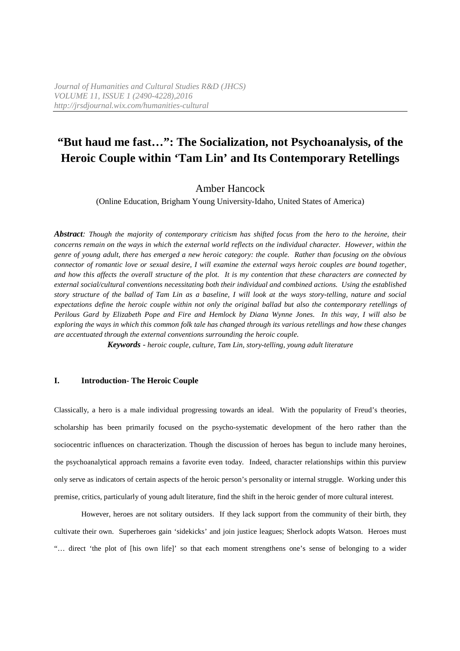# Amber Hancock

(Online Education, Brigham Young University-Idaho, United States of America)

*Abstract: Though the majority of contemporary criticism has shifted focus from the hero to the heroine, their concerns remain on the ways in which the external world reflects on the individual character. However, within the genre of young adult, there has emerged a new heroic category: the couple. Rather than focusing on the obvious connector of romantic love or sexual desire, I will examine the external ways heroic couples are bound together, and how this affects the overall structure of the plot. It is my contention that these characters are connected by external social/cultural conventions necessitating both their individual and combined actions. Using the established story structure of the ballad of Tam Lin as a baseline, I will look at the ways story-telling, nature and social expectations define the heroic couple within not only the original ballad but also the contemporary retellings of Perilous Gard by Elizabeth Pope and Fire and Hemlock by Diana Wynne Jones. In this way, I will also be exploring the ways in which this common folk tale has changed through its various retellings and how these changes are accentuated through the external conventions surrounding the heroic couple.* 

*Keywords* - *heroic couple, culture, Tam Lin, story-telling, young adult literature*

#### **I. Introduction- The Heroic Couple**

Classically, a hero is a male individual progressing towards an ideal. With the popularity of Freud's theories, scholarship has been primarily focused on the psycho-systematic development of the hero rather than the sociocentric influences on characterization. Though the discussion of heroes has begun to include many heroines, the psychoanalytical approach remains a favorite even today. Indeed, character relationships within this purview only serve as indicators of certain aspects of the heroic person's personality or internal struggle. Working under this premise, critics, particularly of young adult literature, find the shift in the heroic gender of more cultural interest.

However, heroes are not solitary outsiders. If they lack support from the community of their birth, they cultivate their own. Superheroes gain 'sidekicks' and join justice leagues; Sherlock adopts Watson. Heroes must "… direct 'the plot of [his own life]' so that each moment strengthens one's sense of belonging to a wider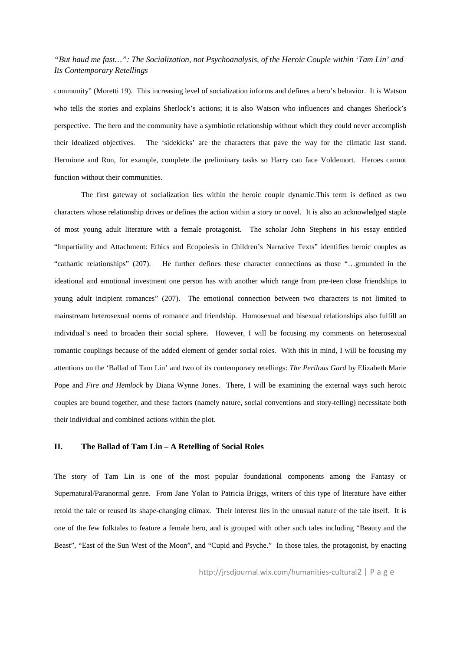community" (Moretti 19). This increasing level of socialization informs and defines a hero's behavior. It is Watson who tells the stories and explains Sherlock's actions; it is also Watson who influences and changes Sherlock's perspective. The hero and the community have a symbiotic relationship without which they could never accomplish their idealized objectives. The 'sidekicks' are the characters that pave the way for the climatic last stand. Hermione and Ron, for example, complete the preliminary tasks so Harry can face Voldemort. Heroes cannot function without their communities.

 The first gateway of socialization lies within the heroic couple dynamic.This term is defined as two characters whose relationship drives or defines the action within a story or novel. It is also an acknowledged staple of most young adult literature with a female protagonist. The scholar John Stephens in his essay entitled "Impartiality and Attachment: Ethics and Ecopoiesis in Children's Narrative Texts" identifies heroic couples as "cathartic relationships" (207). He further defines these character connections as those "…grounded in the ideational and emotional investment one person has with another which range from pre-teen close friendships to young adult incipient romances" (207). The emotional connection between two characters is not limited to mainstream heterosexual norms of romance and friendship. Homosexual and bisexual relationships also fulfill an individual's need to broaden their social sphere. However, I will be focusing my comments on heterosexual romantic couplings because of the added element of gender social roles. With this in mind, I will be focusing my attentions on the 'Ballad of Tam Lin' and two of its contemporary retellings: *The Perilous Gard* by Elizabeth Marie Pope and *Fire and Hemlock* by Diana Wynne Jones. There, I will be examining the external ways such heroic couples are bound together, and these factors (namely nature, social conventions and story-telling) necessitate both their individual and combined actions within the plot.

#### **II. The Ballad of Tam Lin – A Retelling of Social Roles**

The story of Tam Lin is one of the most popular foundational components among the Fantasy or Supernatural/Paranormal genre. From Jane Yolan to Patricia Briggs, writers of this type of literature have either retold the tale or reused its shape-changing climax. Their interest lies in the unusual nature of the tale itself. It is one of the few folktales to feature a female hero, and is grouped with other such tales including "Beauty and the Beast", "East of the Sun West of the Moon", and "Cupid and Psyche." In those tales, the protagonist, by enacting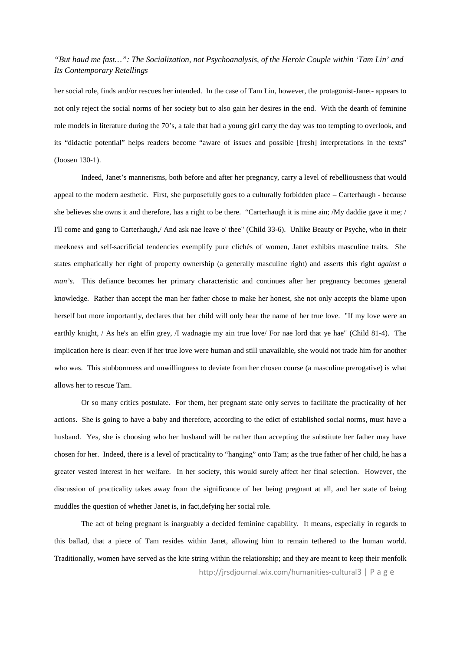her social role, finds and/or rescues her intended. In the case of Tam Lin, however, the protagonist-Janet- appears to not only reject the social norms of her society but to also gain her desires in the end. With the dearth of feminine role models in literature during the 70's, a tale that had a young girl carry the day was too tempting to overlook, and its "didactic potential" helps readers become "aware of issues and possible [fresh] interpretations in the texts" (Joosen 130-1).

Indeed, Janet's mannerisms, both before and after her pregnancy, carry a level of rebelliousness that would appeal to the modern aesthetic. First, she purposefully goes to a culturally forbidden place – Carterhaugh - because she believes she owns it and therefore, has a right to be there. "Carterhaugh it is mine ain; /My daddie gave it me; / I'll come and gang to Carterhaugh,/ And ask nae leave o' thee" (Child 33-6). Unlike Beauty or Psyche, who in their meekness and self-sacrificial tendencies exemplify pure clichés of women, Janet exhibits masculine traits. She states emphatically her right of property ownership (a generally masculine right) and asserts this right *against a man's*. This defiance becomes her primary characteristic and continues after her pregnancy becomes general knowledge. Rather than accept the man her father chose to make her honest, she not only accepts the blame upon herself but more importantly, declares that her child will only bear the name of her true love. "If my love were an earthly knight, / As he's an elfin grey, /I wadnagie my ain true love/ For nae lord that ye hae" (Child 81-4). The implication here is clear: even if her true love were human and still unavailable, she would not trade him for another who was. This stubbornness and unwillingness to deviate from her chosen course (a masculine prerogative) is what allows her to rescue Tam.

Or so many critics postulate. For them, her pregnant state only serves to facilitate the practicality of her actions. She is going to have a baby and therefore, according to the edict of established social norms, must have a husband. Yes, she is choosing who her husband will be rather than accepting the substitute her father may have chosen for her. Indeed, there is a level of practicality to "hanging" onto Tam; as the true father of her child, he has a greater vested interest in her welfare. In her society, this would surely affect her final selection. However, the discussion of practicality takes away from the significance of her being pregnant at all, and her state of being muddles the question of whether Janet is, in fact,defying her social role.

http://jrsdjournal.wix.com/humanities-cultural3 | P a g e The act of being pregnant is inarguably a decided feminine capability. It means, especially in regards to this ballad, that a piece of Tam resides within Janet, allowing him to remain tethered to the human world. Traditionally, women have served as the kite string within the relationship; and they are meant to keep their menfolk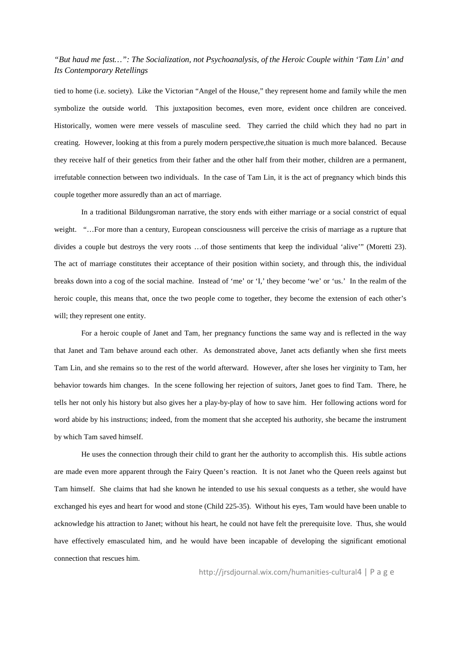tied to home (i.e. society). Like the Victorian "Angel of the House," they represent home and family while the men symbolize the outside world. This juxtaposition becomes, even more, evident once children are conceived. Historically, women were mere vessels of masculine seed. They carried the child which they had no part in creating. However, looking at this from a purely modern perspective,the situation is much more balanced. Because they receive half of their genetics from their father and the other half from their mother, children are a permanent, irrefutable connection between two individuals. In the case of Tam Lin, it is the act of pregnancy which binds this couple together more assuredly than an act of marriage.

In a traditional Bildungsroman narrative, the story ends with either marriage or a social constrict of equal weight. "...For more than a century, European consciousness will perceive the crisis of marriage as a rupture that divides a couple but destroys the very roots …of those sentiments that keep the individual 'alive'" (Moretti 23). The act of marriage constitutes their acceptance of their position within society, and through this, the individual breaks down into a cog of the social machine. Instead of 'me' or 'I,' they become 'we' or 'us.' In the realm of the heroic couple, this means that, once the two people come to together, they become the extension of each other's will; they represent one entity.

For a heroic couple of Janet and Tam, her pregnancy functions the same way and is reflected in the way that Janet and Tam behave around each other. As demonstrated above, Janet acts defiantly when she first meets Tam Lin, and she remains so to the rest of the world afterward. However, after she loses her virginity to Tam, her behavior towards him changes. In the scene following her rejection of suitors, Janet goes to find Tam. There, he tells her not only his history but also gives her a play-by-play of how to save him. Her following actions word for word abide by his instructions; indeed, from the moment that she accepted his authority, she became the instrument by which Tam saved himself.

He uses the connection through their child to grant her the authority to accomplish this. His subtle actions are made even more apparent through the Fairy Queen's reaction. It is not Janet who the Queen reels against but Tam himself. She claims that had she known he intended to use his sexual conquests as a tether, she would have exchanged his eyes and heart for wood and stone (Child 225-35). Without his eyes, Tam would have been unable to acknowledge his attraction to Janet; without his heart, he could not have felt the prerequisite love. Thus, she would have effectively emasculated him, and he would have been incapable of developing the significant emotional connection that rescues him.

http://jrsdjournal.wix.com/humanities-cultural4 | P a g e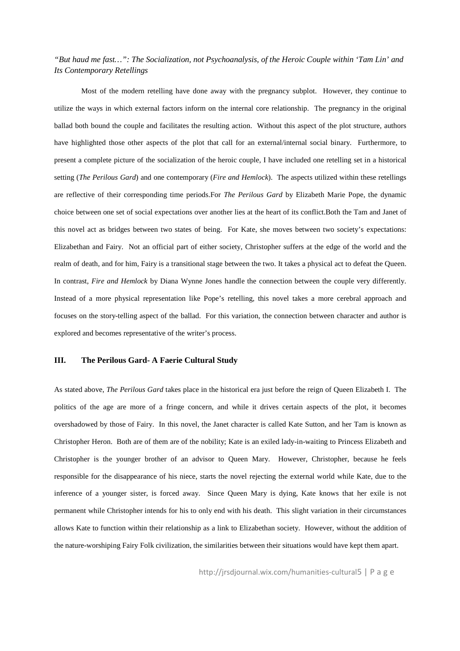Most of the modern retelling have done away with the pregnancy subplot. However, they continue to utilize the ways in which external factors inform on the internal core relationship. The pregnancy in the original ballad both bound the couple and facilitates the resulting action. Without this aspect of the plot structure, authors have highlighted those other aspects of the plot that call for an external/internal social binary. Furthermore, to present a complete picture of the socialization of the heroic couple, I have included one retelling set in a historical setting (*The Perilous Gard*) and one contemporary (*Fire and Hemlock*). The aspects utilized within these retellings are reflective of their corresponding time periods.For *The Perilous Gard* by Elizabeth Marie Pope, the dynamic choice between one set of social expectations over another lies at the heart of its conflict.Both the Tam and Janet of this novel act as bridges between two states of being. For Kate, she moves between two society's expectations: Elizabethan and Fairy. Not an official part of either society, Christopher suffers at the edge of the world and the realm of death, and for him, Fairy is a transitional stage between the two. It takes a physical act to defeat the Queen. In contrast, *Fire and Hemlock* by Diana Wynne Jones handle the connection between the couple very differently. Instead of a more physical representation like Pope's retelling, this novel takes a more cerebral approach and focuses on the story-telling aspect of the ballad. For this variation, the connection between character and author is explored and becomes representative of the writer's process.

#### **III. The Perilous Gard- A Faerie Cultural Study**

As stated above, *The Perilous Gard* takes place in the historical era just before the reign of Queen Elizabeth I. The politics of the age are more of a fringe concern, and while it drives certain aspects of the plot, it becomes overshadowed by those of Fairy. In this novel, the Janet character is called Kate Sutton, and her Tam is known as Christopher Heron. Both are of them are of the nobility; Kate is an exiled lady-in-waiting to Princess Elizabeth and Christopher is the younger brother of an advisor to Queen Mary. However, Christopher, because he feels responsible for the disappearance of his niece, starts the novel rejecting the external world while Kate, due to the inference of a younger sister, is forced away. Since Queen Mary is dying, Kate knows that her exile is not permanent while Christopher intends for his to only end with his death. This slight variation in their circumstances allows Kate to function within their relationship as a link to Elizabethan society. However, without the addition of the nature-worshiping Fairy Folk civilization, the similarities between their situations would have kept them apart.

http://jrsdjournal.wix.com/humanities-cultural5 | P a g e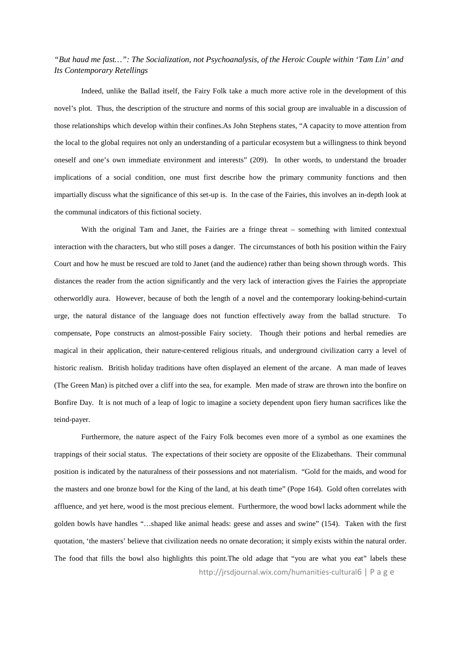Indeed, unlike the Ballad itself, the Fairy Folk take a much more active role in the development of this novel's plot. Thus, the description of the structure and norms of this social group are invaluable in a discussion of those relationships which develop within their confines.As John Stephens states, "A capacity to move attention from the local to the global requires not only an understanding of a particular ecosystem but a willingness to think beyond oneself and one's own immediate environment and interests" (209). In other words, to understand the broader implications of a social condition, one must first describe how the primary community functions and then impartially discuss what the significance of this set-up is. In the case of the Fairies, this involves an in-depth look at the communal indicators of this fictional society.

With the original Tam and Janet, the Fairies are a fringe threat – something with limited contextual interaction with the characters, but who still poses a danger. The circumstances of both his position within the Fairy Court and how he must be rescued are told to Janet (and the audience) rather than being shown through words. This distances the reader from the action significantly and the very lack of interaction gives the Fairies the appropriate otherworldly aura. However, because of both the length of a novel and the contemporary looking-behind-curtain urge, the natural distance of the language does not function effectively away from the ballad structure. To compensate, Pope constructs an almost-possible Fairy society. Though their potions and herbal remedies are magical in their application, their nature-centered religious rituals, and underground civilization carry a level of historic realism. British holiday traditions have often displayed an element of the arcane. A man made of leaves (The Green Man) is pitched over a cliff into the sea, for example. Men made of straw are thrown into the bonfire on Bonfire Day. It is not much of a leap of logic to imagine a society dependent upon fiery human sacrifices like the teind-payer.

http://jrsdjournal.wix.com/humanities-cultural6 | P a g e Furthermore, the nature aspect of the Fairy Folk becomes even more of a symbol as one examines the trappings of their social status. The expectations of their society are opposite of the Elizabethans. Their communal position is indicated by the naturalness of their possessions and not materialism. "Gold for the maids, and wood for the masters and one bronze bowl for the King of the land, at his death time" (Pope 164). Gold often correlates with affluence, and yet here, wood is the most precious element. Furthermore, the wood bowl lacks adornment while the golden bowls have handles "…shaped like animal heads: geese and asses and swine" (154). Taken with the first quotation, 'the masters' believe that civilization needs no ornate decoration; it simply exists within the natural order. The food that fills the bowl also highlights this point.The old adage that "you are what you eat" labels these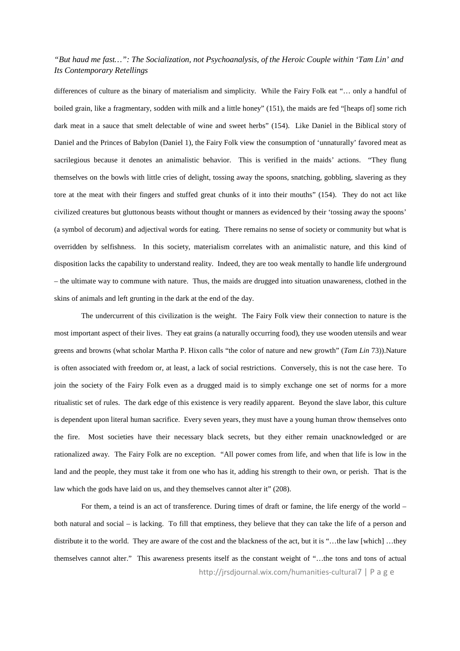differences of culture as the binary of materialism and simplicity. While the Fairy Folk eat "… only a handful of boiled grain, like a fragmentary, sodden with milk and a little honey" (151), the maids are fed "[heaps of] some rich dark meat in a sauce that smelt delectable of wine and sweet herbs" (154). Like Daniel in the Biblical story of Daniel and the Princes of Babylon (Daniel 1), the Fairy Folk view the consumption of 'unnaturally' favored meat as sacrilegious because it denotes an animalistic behavior. This is verified in the maids' actions. "They flung themselves on the bowls with little cries of delight, tossing away the spoons, snatching, gobbling, slavering as they tore at the meat with their fingers and stuffed great chunks of it into their mouths" (154). They do not act like civilized creatures but gluttonous beasts without thought or manners as evidenced by their 'tossing away the spoons' (a symbol of decorum) and adjectival words for eating. There remains no sense of society or community but what is overridden by selfishness. In this society, materialism correlates with an animalistic nature, and this kind of disposition lacks the capability to understand reality. Indeed, they are too weak mentally to handle life underground – the ultimate way to commune with nature. Thus, the maids are drugged into situation unawareness, clothed in the skins of animals and left grunting in the dark at the end of the day.

The undercurrent of this civilization is the weight. The Fairy Folk view their connection to nature is the most important aspect of their lives. They eat grains (a naturally occurring food), they use wooden utensils and wear greens and browns (what scholar Martha P. Hixon calls "the color of nature and new growth" (*Tam Lin* 73)).Nature is often associated with freedom or, at least, a lack of social restrictions. Conversely, this is not the case here. To join the society of the Fairy Folk even as a drugged maid is to simply exchange one set of norms for a more ritualistic set of rules. The dark edge of this existence is very readily apparent. Beyond the slave labor, this culture is dependent upon literal human sacrifice. Every seven years, they must have a young human throw themselves onto the fire. Most societies have their necessary black secrets, but they either remain unacknowledged or are rationalized away. The Fairy Folk are no exception. "All power comes from life, and when that life is low in the land and the people, they must take it from one who has it, adding his strength to their own, or perish. That is the law which the gods have laid on us, and they themselves cannot alter it" (208).

http://jrsdjournal.wix.com/humanities-cultural7 | P a g e For them, a teind is an act of transference. During times of draft or famine, the life energy of the world – both natural and social – is lacking. To fill that emptiness, they believe that they can take the life of a person and distribute it to the world. They are aware of the cost and the blackness of the act, but it is "...the law [which] ...they themselves cannot alter." This awareness presents itself as the constant weight of "…the tons and tons of actual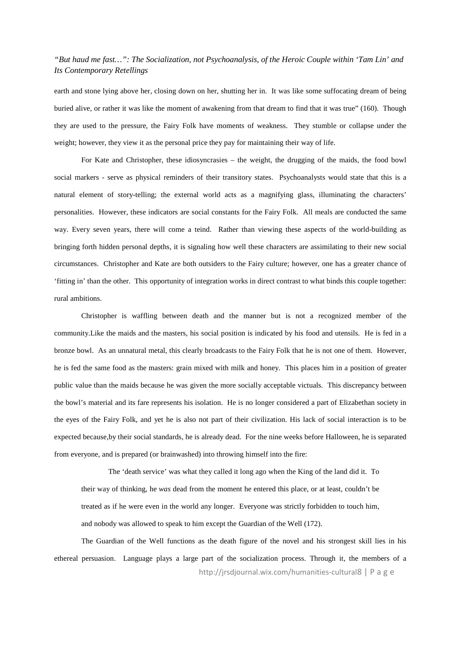earth and stone lying above her, closing down on her, shutting her in. It was like some suffocating dream of being buried alive, or rather it was like the moment of awakening from that dream to find that it was true" (160). Though they are used to the pressure, the Fairy Folk have moments of weakness. They stumble or collapse under the weight; however, they view it as the personal price they pay for maintaining their way of life.

For Kate and Christopher, these idiosyncrasies – the weight, the drugging of the maids, the food bowl social markers - serve as physical reminders of their transitory states. Psychoanalysts would state that this is a natural element of story-telling; the external world acts as a magnifying glass, illuminating the characters' personalities. However, these indicators are social constants for the Fairy Folk. All meals are conducted the same way. Every seven years, there will come a teind. Rather than viewing these aspects of the world-building as bringing forth hidden personal depths, it is signaling how well these characters are assimilating to their new social circumstances. Christopher and Kate are both outsiders to the Fairy culture; however, one has a greater chance of 'fitting in' than the other. This opportunity of integration works in direct contrast to what binds this couple together: rural ambitions.

Christopher is waffling between death and the manner but is not a recognized member of the community.Like the maids and the masters, his social position is indicated by his food and utensils. He is fed in a bronze bowl. As an unnatural metal, this clearly broadcasts to the Fairy Folk that he is not one of them. However, he is fed the same food as the masters: grain mixed with milk and honey. This places him in a position of greater public value than the maids because he was given the more socially acceptable victuals. This discrepancy between the bowl's material and its fare represents his isolation. He is no longer considered a part of Elizabethan society in the eyes of the Fairy Folk, and yet he is also not part of their civilization. His lack of social interaction is to be expected because,by their social standards, he is already dead. For the nine weeks before Halloween, he is separated from everyone, and is prepared (or brainwashed) into throwing himself into the fire:

The 'death service' was what they called it long ago when the King of the land did it. To their way of thinking, he *was* dead from the moment he entered this place, or at least, couldn't be treated as if he were even in the world any longer. Everyone was strictly forbidden to touch him, and nobody was allowed to speak to him except the Guardian of the Well (172).

http://jrsdjournal.wix.com/humanities-cultural8 | P a g e The Guardian of the Well functions as the death figure of the novel and his strongest skill lies in his ethereal persuasion. Language plays a large part of the socialization process. Through it, the members of a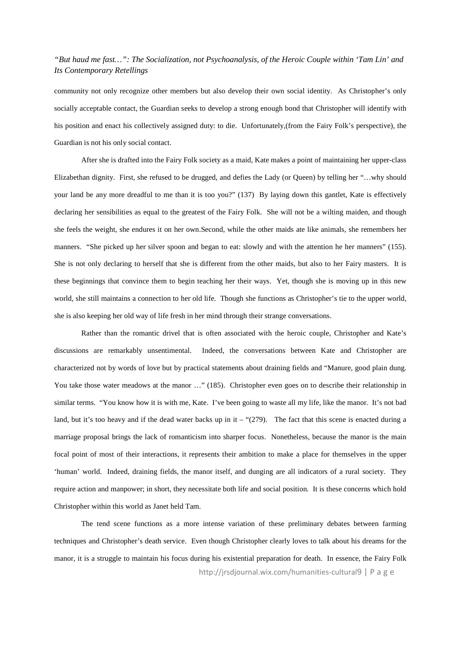community not only recognize other members but also develop their own social identity. As Christopher's only socially acceptable contact, the Guardian seeks to develop a strong enough bond that Christopher will identify with his position and enact his collectively assigned duty: to die. Unfortunately,(from the Fairy Folk's perspective), the Guardian is not his only social contact.

After she is drafted into the Fairy Folk society as a maid, Kate makes a point of maintaining her upper-class Elizabethan dignity. First, she refused to be drugged, and defies the Lady (or Queen) by telling her "…why should your land be any more dreadful to me than it is too you?" (137) By laying down this gantlet, Kate is effectively declaring her sensibilities as equal to the greatest of the Fairy Folk. She will not be a wilting maiden, and though she feels the weight, she endures it on her own.Second, while the other maids ate like animals, she remembers her manners. "She picked up her silver spoon and began to eat: slowly and with the attention he her manners" (155). She is not only declaring to herself that she is different from the other maids, but also to her Fairy masters. It is these beginnings that convince them to begin teaching her their ways. Yet, though she is moving up in this new world, she still maintains a connection to her old life. Though she functions as Christopher's tie to the upper world, she is also keeping her old way of life fresh in her mind through their strange conversations.

Rather than the romantic drivel that is often associated with the heroic couple, Christopher and Kate's discussions are remarkably unsentimental. Indeed, the conversations between Kate and Christopher are characterized not by words of love but by practical statements about draining fields and "Manure, good plain dung. You take those water meadows at the manor ..." (185). Christopher even goes on to describe their relationship in similar terms. "You know how it is with me, Kate. I've been going to waste all my life, like the manor. It's not bad land, but it's too heavy and if the dead water backs up in it – "(279). The fact that this scene is enacted during a marriage proposal brings the lack of romanticism into sharper focus. Nonetheless, because the manor is the main focal point of most of their interactions, it represents their ambition to make a place for themselves in the upper 'human' world. Indeed, draining fields, the manor itself, and dunging are all indicators of a rural society. They require action and manpower; in short, they necessitate both life and social position. It is these concerns which hold Christopher within this world as Janet held Tam.

http://jrsdjournal.wix.com/humanities-cultural9 | P a g e The tend scene functions as a more intense variation of these preliminary debates between farming techniques and Christopher's death service. Even though Christopher clearly loves to talk about his dreams for the manor, it is a struggle to maintain his focus during his existential preparation for death. In essence, the Fairy Folk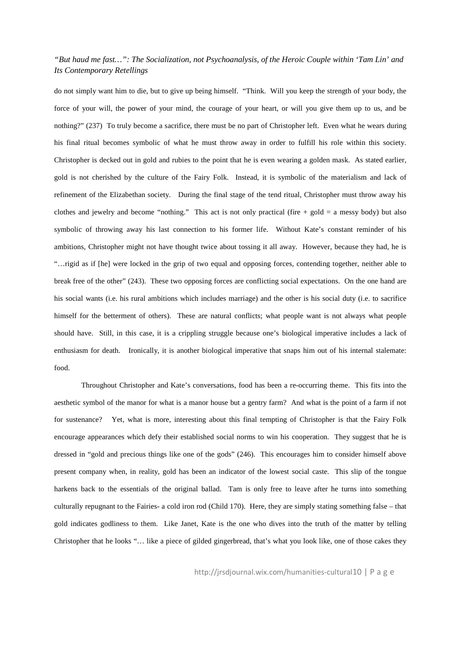do not simply want him to die, but to give up being himself. "Think. Will you keep the strength of your body, the force of your will, the power of your mind, the courage of your heart, or will you give them up to us, and be nothing?" (237) To truly become a sacrifice, there must be no part of Christopher left. Even what he wears during his final ritual becomes symbolic of what he must throw away in order to fulfill his role within this society. Christopher is decked out in gold and rubies to the point that he is even wearing a golden mask. As stated earlier, gold is not cherished by the culture of the Fairy Folk. Instead, it is symbolic of the materialism and lack of refinement of the Elizabethan society. During the final stage of the tend ritual, Christopher must throw away his clothes and jewelry and become "nothing." This act is not only practical (fire  $+$  gold  $=$  a messy body) but also symbolic of throwing away his last connection to his former life. Without Kate's constant reminder of his ambitions, Christopher might not have thought twice about tossing it all away. However, because they had, he is "…rigid as if [he] were locked in the grip of two equal and opposing forces, contending together, neither able to break free of the other" (243). These two opposing forces are conflicting social expectations. On the one hand are his social wants (i.e. his rural ambitions which includes marriage) and the other is his social duty (i.e. to sacrifice himself for the betterment of others). These are natural conflicts; what people want is not always what people should have. Still, in this case, it is a crippling struggle because one's biological imperative includes a lack of enthusiasm for death. Ironically, it is another biological imperative that snaps him out of his internal stalemate: food.

Throughout Christopher and Kate's conversations, food has been a re-occurring theme. This fits into the aesthetic symbol of the manor for what is a manor house but a gentry farm? And what is the point of a farm if not for sustenance? Yet, what is more, interesting about this final tempting of Christopher is that the Fairy Folk encourage appearances which defy their established social norms to win his cooperation. They suggest that he is dressed in "gold and precious things like one of the gods" (246). This encourages him to consider himself above present company when, in reality, gold has been an indicator of the lowest social caste. This slip of the tongue harkens back to the essentials of the original ballad. Tam is only free to leave after he turns into something culturally repugnant to the Fairies- a cold iron rod (Child 170). Here, they are simply stating something false – that gold indicates godliness to them. Like Janet, Kate is the one who dives into the truth of the matter by telling Christopher that he looks "… like a piece of gilded gingerbread, that's what you look like, one of those cakes they

http://jrsdjournal.wix.com/humanities-cultural10 | P a g e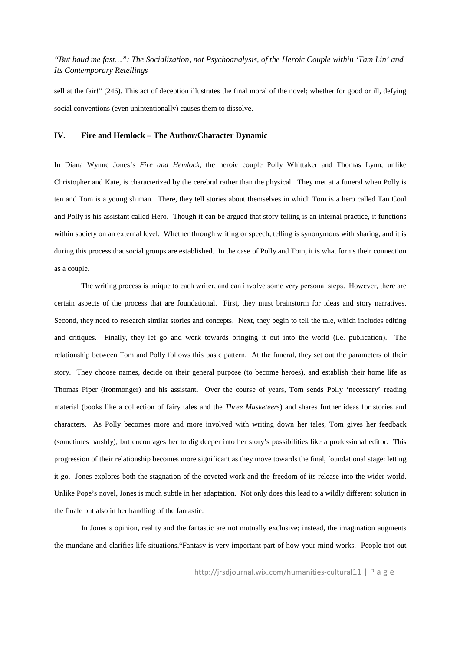sell at the fair!" (246). This act of deception illustrates the final moral of the novel; whether for good or ill, defying social conventions (even unintentionally) causes them to dissolve.

#### **IV. Fire and Hemlock – The Author/Character Dynamic**

In Diana Wynne Jones's *Fire and Hemlock*, the heroic couple Polly Whittaker and Thomas Lynn, unlike Christopher and Kate, is characterized by the cerebral rather than the physical. They met at a funeral when Polly is ten and Tom is a youngish man. There, they tell stories about themselves in which Tom is a hero called Tan Coul and Polly is his assistant called Hero. Though it can be argued that story-telling is an internal practice, it functions within society on an external level. Whether through writing or speech, telling is synonymous with sharing, and it is during this process that social groups are established. In the case of Polly and Tom, it is what forms their connection as a couple.

The writing process is unique to each writer, and can involve some very personal steps. However, there are certain aspects of the process that are foundational. First, they must brainstorm for ideas and story narratives. Second, they need to research similar stories and concepts. Next, they begin to tell the tale, which includes editing and critiques. Finally, they let go and work towards bringing it out into the world (i.e. publication). The relationship between Tom and Polly follows this basic pattern. At the funeral, they set out the parameters of their story. They choose names, decide on their general purpose (to become heroes), and establish their home life as Thomas Piper (ironmonger) and his assistant. Over the course of years, Tom sends Polly 'necessary' reading material (books like a collection of fairy tales and the *Three Musketeers*) and shares further ideas for stories and characters. As Polly becomes more and more involved with writing down her tales, Tom gives her feedback (sometimes harshly), but encourages her to dig deeper into her story's possibilities like a professional editor. This progression of their relationship becomes more significant as they move towards the final, foundational stage: letting it go. Jones explores both the stagnation of the coveted work and the freedom of its release into the wider world. Unlike Pope's novel, Jones is much subtle in her adaptation. Not only does this lead to a wildly different solution in the finale but also in her handling of the fantastic.

In Jones's opinion, reality and the fantastic are not mutually exclusive; instead, the imagination augments the mundane and clarifies life situations."Fantasy is very important part of how your mind works. People trot out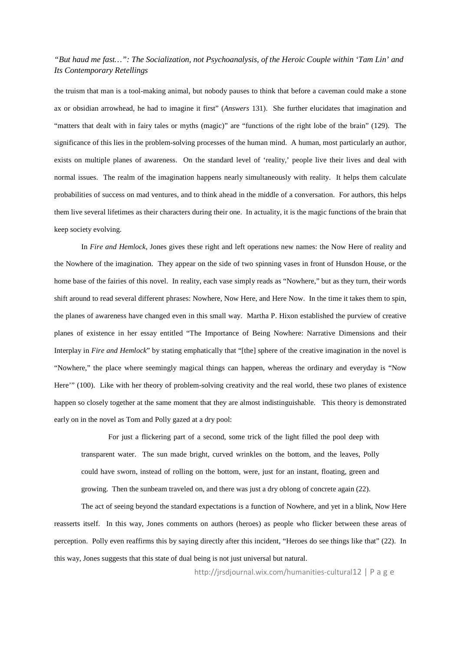the truism that man is a tool-making animal, but nobody pauses to think that before a caveman could make a stone ax or obsidian arrowhead, he had to imagine it first" (*Answers* 131). She further elucidates that imagination and "matters that dealt with in fairy tales or myths (magic)" are "functions of the right lobe of the brain" (129). The significance of this lies in the problem-solving processes of the human mind. A human, most particularly an author, exists on multiple planes of awareness. On the standard level of 'reality,' people live their lives and deal with normal issues. The realm of the imagination happens nearly simultaneously with reality. It helps them calculate probabilities of success on mad ventures, and to think ahead in the middle of a conversation. For authors, this helps them live several lifetimes as their characters during their one. In actuality, it is the magic functions of the brain that keep society evolving.

In *Fire and Hemlock*, Jones gives these right and left operations new names: the Now Here of reality and the Nowhere of the imagination. They appear on the side of two spinning vases in front of Hunsdon House, or the home base of the fairies of this novel. In reality, each vase simply reads as "Nowhere," but as they turn, their words shift around to read several different phrases: Nowhere, Now Here, and Here Now. In the time it takes them to spin, the planes of awareness have changed even in this small way. Martha P. Hixon established the purview of creative planes of existence in her essay entitled "The Importance of Being Nowhere: Narrative Dimensions and their Interplay in *Fire and Hemlock*" by stating emphatically that "[the] sphere of the creative imagination in the novel is "Nowhere," the place where seemingly magical things can happen, whereas the ordinary and everyday is "Now Here'" (100). Like with her theory of problem-solving creativity and the real world, these two planes of existence happen so closely together at the same moment that they are almost indistinguishable. This theory is demonstrated early on in the novel as Tom and Polly gazed at a dry pool:

For just a flickering part of a second, some trick of the light filled the pool deep with transparent water. The sun made bright, curved wrinkles on the bottom, and the leaves, Polly could have sworn, instead of rolling on the bottom, were, just for an instant, floating, green and growing. Then the sunbeam traveled on, and there was just a dry oblong of concrete again (22).

The act of seeing beyond the standard expectations is a function of Nowhere, and yet in a blink, Now Here reasserts itself. In this way, Jones comments on authors (heroes) as people who flicker between these areas of perception. Polly even reaffirms this by saying directly after this incident, "Heroes do see things like that" (22). In this way, Jones suggests that this state of dual being is not just universal but natural.

http://jrsdjournal.wix.com/humanities-cultural12 | P a g e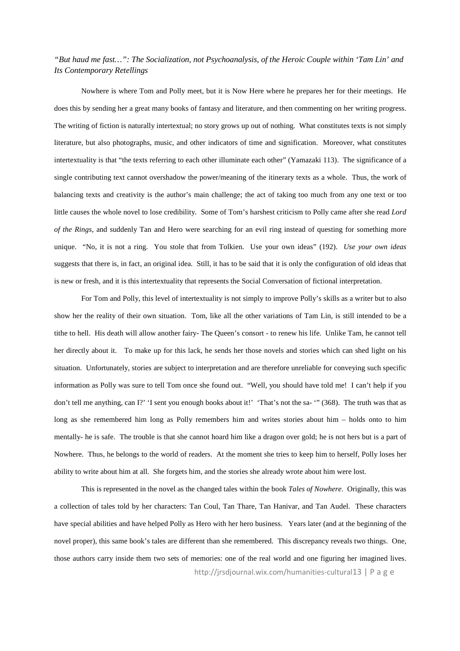Nowhere is where Tom and Polly meet, but it is Now Here where he prepares her for their meetings. He does this by sending her a great many books of fantasy and literature, and then commenting on her writing progress. The writing of fiction is naturally intertextual; no story grows up out of nothing. What constitutes texts is not simply literature, but also photographs, music, and other indicators of time and signification. Moreover, what constitutes intertextuality is that "the texts referring to each other illuminate each other" (Yamazaki 113). The significance of a single contributing text cannot overshadow the power/meaning of the itinerary texts as a whole. Thus, the work of balancing texts and creativity is the author's main challenge; the act of taking too much from any one text or too little causes the whole novel to lose credibility. Some of Tom's harshest criticism to Polly came after she read *Lord of the Rings*, and suddenly Tan and Hero were searching for an evil ring instead of questing for something more unique. "No, it is not a ring. You stole that from Tolkien. Use your own ideas" (192). *Use your own ideas* suggests that there is, in fact, an original idea. Still, it has to be said that it is only the configuration of old ideas that is new or fresh, and it is this intertextuality that represents the Social Conversation of fictional interpretation.

For Tom and Polly, this level of intertextuality is not simply to improve Polly's skills as a writer but to also show her the reality of their own situation. Tom, like all the other variations of Tam Lin, is still intended to be a tithe to hell. His death will allow another fairy- The Queen's consort - to renew his life. Unlike Tam, he cannot tell her directly about it. To make up for this lack, he sends her those novels and stories which can shed light on his situation. Unfortunately, stories are subject to interpretation and are therefore unreliable for conveying such specific information as Polly was sure to tell Tom once she found out. "Well, you should have told me! I can't help if you don't tell me anything, can I?' 'I sent you enough books about it!' 'That's not the sa- '" (368). The truth was that as long as she remembered him long as Polly remembers him and writes stories about him – holds onto to him mentally- he is safe. The trouble is that she cannot hoard him like a dragon over gold; he is not hers but is a part of Nowhere. Thus, he belongs to the world of readers. At the moment she tries to keep him to herself, Polly loses her ability to write about him at all. She forgets him, and the stories she already wrote about him were lost.

http://jrsdjournal.wix.com/humanities-cultural13 | P a g e This is represented in the novel as the changed tales within the book *Tales of Nowhere*. Originally, this was a collection of tales told by her characters: Tan Coul, Tan Thare, Tan Hanivar, and Tan Audel. These characters have special abilities and have helped Polly as Hero with her hero business. Years later (and at the beginning of the novel proper), this same book's tales are different than she remembered. This discrepancy reveals two things. One, those authors carry inside them two sets of memories: one of the real world and one figuring her imagined lives.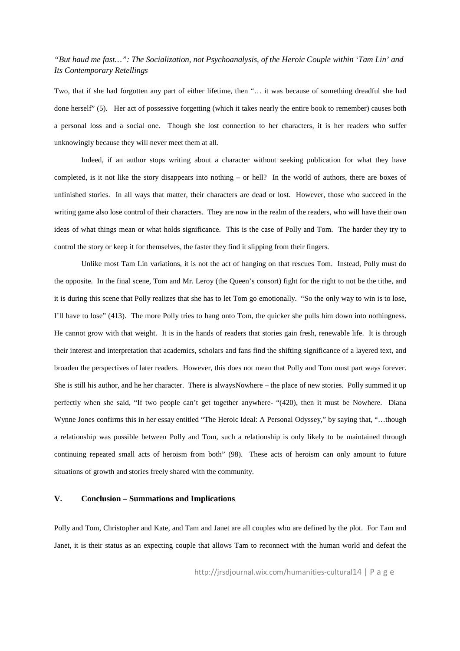Two, that if she had forgotten any part of either lifetime, then "… it was because of something dreadful she had done herself" (5). Her act of possessive forgetting (which it takes nearly the entire book to remember) causes both a personal loss and a social one. Though she lost connection to her characters, it is her readers who suffer unknowingly because they will never meet them at all.

Indeed, if an author stops writing about a character without seeking publication for what they have completed, is it not like the story disappears into nothing – or hell? In the world of authors, there are boxes of unfinished stories. In all ways that matter, their characters are dead or lost. However, those who succeed in the writing game also lose control of their characters. They are now in the realm of the readers, who will have their own ideas of what things mean or what holds significance. This is the case of Polly and Tom. The harder they try to control the story or keep it for themselves, the faster they find it slipping from their fingers.

Unlike most Tam Lin variations, it is not the act of hanging on that rescues Tom. Instead, Polly must do the opposite. In the final scene, Tom and Mr. Leroy (the Queen's consort) fight for the right to not be the tithe, and it is during this scene that Polly realizes that she has to let Tom go emotionally. "So the only way to win is to lose, I'll have to lose" (413). The more Polly tries to hang onto Tom, the quicker she pulls him down into nothingness. He cannot grow with that weight. It is in the hands of readers that stories gain fresh, renewable life. It is through their interest and interpretation that academics, scholars and fans find the shifting significance of a layered text, and broaden the perspectives of later readers. However, this does not mean that Polly and Tom must part ways forever. She is still his author, and he her character. There is alwaysNowhere – the place of new stories. Polly summed it up perfectly when she said, "If two people can't get together anywhere- "(420), then it must be Nowhere. Diana Wynne Jones confirms this in her essay entitled "The Heroic Ideal: A Personal Odyssey," by saying that, "…though a relationship was possible between Polly and Tom, such a relationship is only likely to be maintained through continuing repeated small acts of heroism from both" (98). These acts of heroism can only amount to future situations of growth and stories freely shared with the community.

#### **V. Conclusion – Summations and Implications**

Polly and Tom, Christopher and Kate, and Tam and Janet are all couples who are defined by the plot. For Tam and Janet, it is their status as an expecting couple that allows Tam to reconnect with the human world and defeat the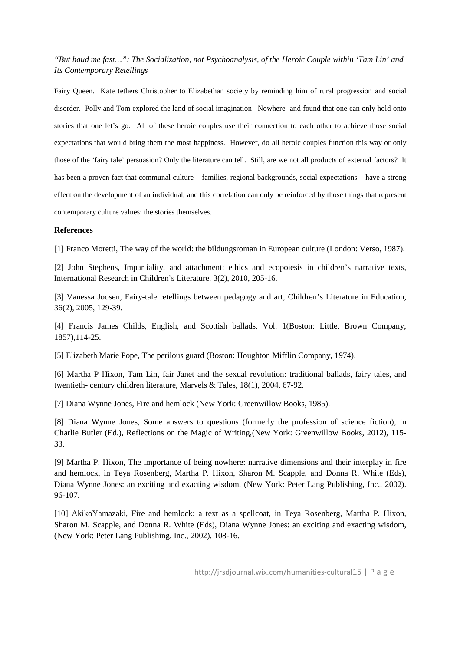Fairy Queen. Kate tethers Christopher to Elizabethan society by reminding him of rural progression and social disorder. Polly and Tom explored the land of social imagination –Nowhere- and found that one can only hold onto stories that one let's go. All of these heroic couples use their connection to each other to achieve those social expectations that would bring them the most happiness. However, do all heroic couples function this way or only those of the 'fairy tale' persuasion? Only the literature can tell. Still, are we not all products of external factors? It has been a proven fact that communal culture – families, regional backgrounds, social expectations – have a strong effect on the development of an individual, and this correlation can only be reinforced by those things that represent contemporary culture values: the stories themselves.

#### **References**

[1] Franco Moretti, The way of the world: the bildungsroman in European culture (London: Verso, 1987).

[2] John Stephens, Impartiality, and attachment: ethics and ecopoiesis in children's narrative texts, International Research in Children's Literature. 3(2), 2010, 205-16.

[3] Vanessa Joosen, Fairy-tale retellings between pedagogy and art, Children's Literature in Education, 36(2), 2005, 129-39.

[4] Francis James Childs, English, and Scottish ballads. Vol. 1(Boston: Little, Brown Company; 1857),114-25.

[5] Elizabeth Marie Pope, The perilous guard (Boston: Houghton Mifflin Company, 1974).

[6] Martha P Hixon, Tam Lin, fair Janet and the sexual revolution: traditional ballads, fairy tales, and twentieth- century children literature, Marvels & Tales, 18(1), 2004, 67-92.

[7] Diana Wynne Jones, Fire and hemlock (New York: Greenwillow Books, 1985).

[8] Diana Wynne Jones, Some answers to questions (formerly the profession of science fiction), in Charlie Butler (Ed.), Reflections on the Magic of Writing,(New York: Greenwillow Books, 2012), 115- 33.

[9] Martha P. Hixon, The importance of being nowhere: narrative dimensions and their interplay in fire and hemlock, in Teya Rosenberg, Martha P. Hixon, Sharon M. Scapple, and Donna R. White (Eds), Diana Wynne Jones: an exciting and exacting wisdom, (New York: Peter Lang Publishing, Inc., 2002). 96-107.

[10] AkikoYamazaki, Fire and hemlock: a text as a spellcoat, in Teya Rosenberg, Martha P. Hixon, Sharon M. Scapple, and Donna R. White (Eds), Diana Wynne Jones: an exciting and exacting wisdom, (New York: Peter Lang Publishing, Inc., 2002), 108-16.

http://jrsdjournal.wix.com/humanities-cultural15 | P a g e